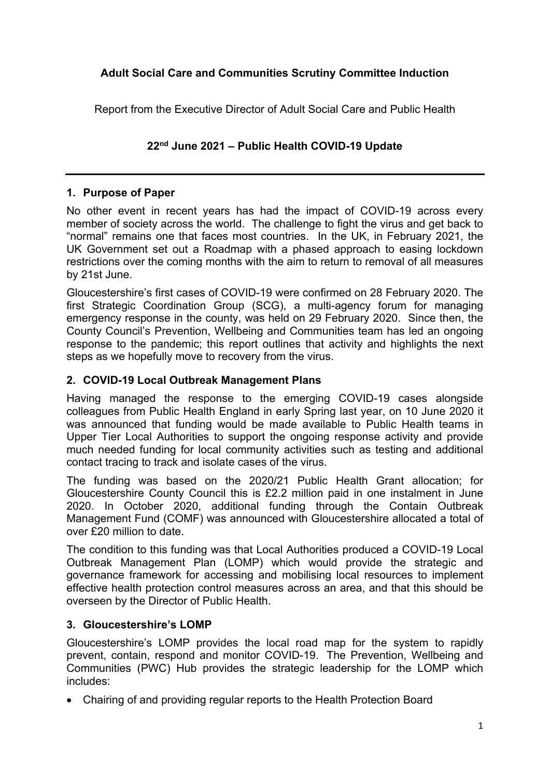# **Adult Social Care and Communities Scrutiny Committee Induction**

Report from the Executive Director of Adult Social Care and Public Health

## **22nd June 2021 – Public Health COVID-19 Update**

#### **1. Purpose of Paper**

No other event in recent years has had the impact of COVID-19 across every member of society across the world. The challenge to fight the virus and get back to "normal" remains one that faces most countries. In the UK, in February 2021, the UK Government set out a Roadmap with a phased approach to easing lockdown restrictions over the coming months with the aim to return to removal of all measures by 21st June.

Gloucestershire's first cases of COVID-19 were confirmed on 28 February 2020. The first Strategic Coordination Group (SCG), a multi-agency forum for managing emergency response in the county, was held on 29 February 2020. Since then, the County Council's Prevention, Wellbeing and Communities team has led an ongoing response to the pandemic; this report outlines that activity and highlights the next steps as we hopefully move to recovery from the virus.

## **2. COVID-19 Local Outbreak Management Plans**

Having managed the response to the emerging COVID-19 cases alongside colleagues from Public Health England in early Spring last year, on 10 June 2020 it was announced that funding would be made available to Public Health teams in Upper Tier Local Authorities to support the ongoing response activity and provide much needed funding for local community activities such as testing and additional contact tracing to track and isolate cases of the virus.

The funding was based on the 2020/21 Public Health Grant allocation; for Gloucestershire County Council this is £2.2 million paid in one instalment in June 2020. In October 2020, additional funding through the Contain Outbreak Management Fund (COMF) was announced with Gloucestershire allocated a total of over £20 million to date.

The condition to this funding was that Local Authorities produced a COVID-19 Local Outbreak Management Plan (LOMP) which would provide the strategic and governance framework for accessing and mobilising local resources to implement effective health protection control measures across an area, and that this should be overseen by the Director of Public Health.

## **3. Gloucestershire's LOMP**

Gloucestershire's LOMP provides the local road map for the system to rapidly prevent, contain, respond and monitor COVID-19. The Prevention, Wellbeing and Communities (PWC) Hub provides the strategic leadership for the LOMP which includes:

Chairing of and providing regular reports to the Health Protection Board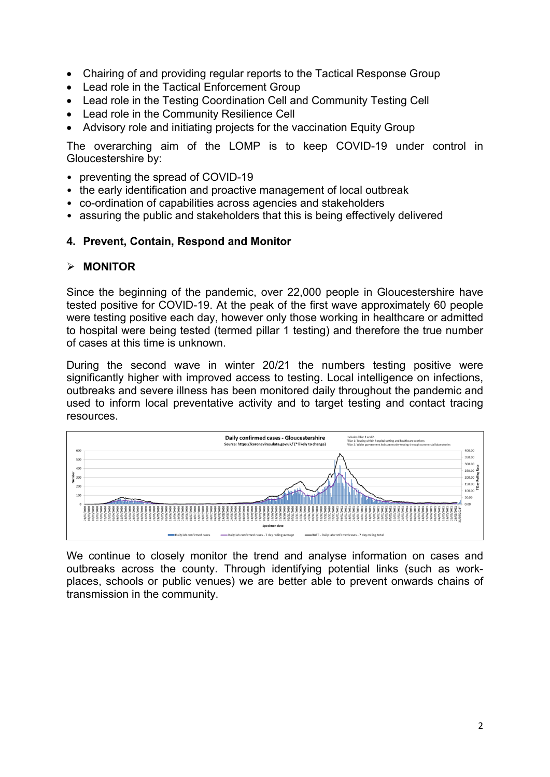- Chairing of and providing regular reports to the Tactical Response Group
- Lead role in the Tactical Enforcement Group
- Lead role in the Testing Coordination Cell and Community Testing Cell
- Lead role in the Community Resilience Cell
- Advisory role and initiating projects for the vaccination Equity Group

The overarching aim of the LOMP is to keep COVID-19 under control in Gloucestershire by:

- preventing the spread of COVID-19
- the early identification and proactive management of local outbreak
- co-ordination of capabilities across agencies and stakeholders
- assuring the public and stakeholders that this is being effectively delivered

#### **4. Prevent, Contain, Respond and Monitor**

#### **MONITOR**

Since the beginning of the pandemic, over 22,000 people in Gloucestershire have tested positive for COVID-19. At the peak of the first wave approximately 60 people were testing positive each day, however only those working in healthcare or admitted to hospital were being tested (termed pillar 1 testing) and therefore the true number of cases at this time is unknown.

During the second wave in winter 20/21 the numbers testing positive were significantly higher with improved access to testing. Local intelligence on infections, outbreaks and severe illness has been monitored daily throughout the pandemic and used to inform local preventative activity and to target testing and contact tracing resources.



We continue to closely monitor the trend and analyse information on cases and outbreaks across the county. Through identifying potential links (such as workplaces, schools or public venues) we are better able to prevent onwards chains of transmission in the community.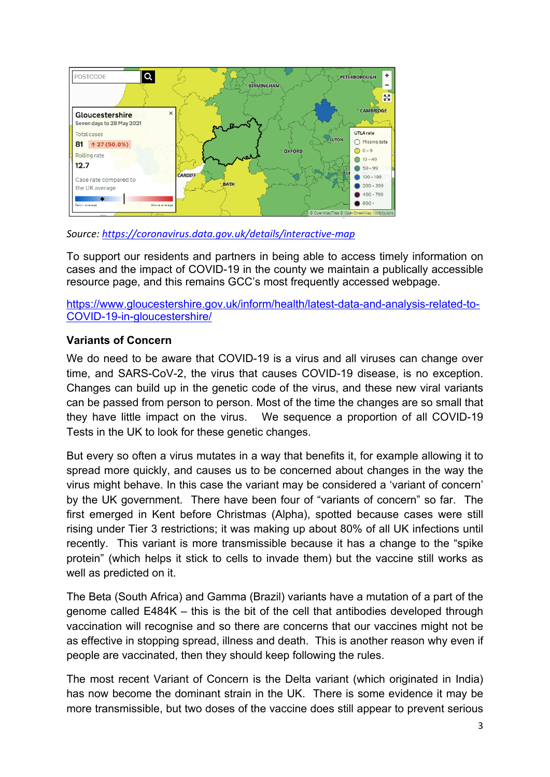

*Source: <https://coronavirus.data.gov.uk/details/interactive-map>*

To support our residents and partners in being able to access timely information on cases and the impact of COVID-19 in the county we maintain a publically accessible resource page, and this remains GCC's most frequently accessed webpage.

[https://www.gloucestershire.gov.uk/inform/health/latest-data-and-analysis-related-to-](https://www.gloucestershire.gov.uk/inform/health/latest-data-and-analysis-related-to-covid-19-in-gloucestershire/)[COVID-19-in-gloucestershire/](https://www.gloucestershire.gov.uk/inform/health/latest-data-and-analysis-related-to-covid-19-in-gloucestershire/)

## **Variants of Concern**

We do need to be aware that COVID-19 is a virus and all viruses can change over time, and SARS-CoV-2, the virus that causes COVID-19 disease, is no exception. Changes can build up in the genetic code of the virus, and these new viral variants can be passed from person to person. Most of the time the changes are so small that they have little impact on the virus. We sequence a proportion of all COVID-19 Tests in the UK to look for these genetic changes.

But every so often a virus mutates in a way that benefits it, for example allowing it to spread more quickly, and causes us to be concerned about changes in the way the virus might behave. In this case the variant may be considered a 'variant of concern' by the UK government. There have been four of "variants of concern" so far. The first emerged in Kent before Christmas (Alpha), spotted because cases were still rising under Tier 3 restrictions; it was making up about 80% of all UK infections until recently. This variant is more transmissible because it has a change to the "spike protein" (which helps it stick to cells to invade them) but the vaccine still works as well as predicted on it.

The Beta (South Africa) and Gamma (Brazil) variants have a mutation of a part of the genome called E484K – this is the bit of the cell that antibodies developed through vaccination will recognise and so there are concerns that our vaccines might not be as effective in stopping spread, illness and death. This is another reason why even if people are vaccinated, then they should keep following the rules.

The most recent Variant of Concern is the Delta variant (which originated in India) has now become the dominant strain in the UK. There is some evidence it may be more transmissible, but two doses of the vaccine does still appear to prevent serious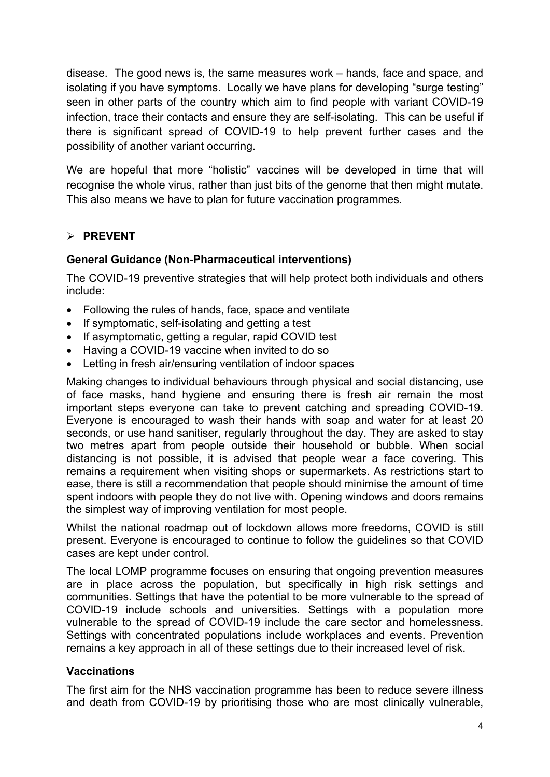disease. The good news is, the same measures work – hands, face and space, and isolating if you have symptoms. Locally we have plans for developing "surge testing" seen in other parts of the country which aim to find people with variant COVID-19 infection, trace their contacts and ensure they are self-isolating. This can be useful if there is significant spread of COVID-19 to help prevent further cases and the possibility of another variant occurring.

We are hopeful that more "holistic" vaccines will be developed in time that will recognise the whole virus, rather than just bits of the genome that then might mutate. This also means we have to plan for future vaccination programmes.

## **PREVENT**

## **General Guidance (Non-Pharmaceutical interventions)**

The COVID-19 preventive strategies that will help protect both individuals and others include:

- Following the rules of hands, face, space and ventilate
- If symptomatic, self-isolating and getting a test
- If asymptomatic, getting a regular, rapid COVID test
- Having a COVID-19 vaccine when invited to do so
- Letting in fresh air/ensuring ventilation of indoor spaces

Making changes to individual behaviours through physical and social distancing, use of face masks, hand hygiene and ensuring there is fresh air remain the most important steps everyone can take to prevent catching and spreading COVID-19. Everyone is encouraged to wash their hands with soap and water for at least 20 seconds, or use hand sanitiser, regularly throughout the day. They are asked to stay two metres apart from people outside their household or bubble. When social distancing is not possible, it is advised that people wear a face covering. This remains a requirement when visiting shops or supermarkets. As restrictions start to ease, there is still a recommendation that people should minimise the amount of time spent indoors with people they do not live with. Opening windows and doors remains the simplest way of improving ventilation for most people.

Whilst the national roadmap out of lockdown allows more freedoms, COVID is still present. Everyone is encouraged to continue to follow the guidelines so that COVID cases are kept under control.

The local LOMP programme focuses on ensuring that ongoing prevention measures are in place across the population, but specifically in high risk settings and communities. Settings that have the potential to be more vulnerable to the spread of COVID-19 include schools and universities. Settings with a population more vulnerable to the spread of COVID-19 include the care sector and homelessness. Settings with concentrated populations include workplaces and events. Prevention remains a key approach in all of these settings due to their increased level of risk.

## **Vaccinations**

The first aim for the NHS vaccination programme has been to reduce severe illness and death from COVID-19 by prioritising those who are most clinically vulnerable,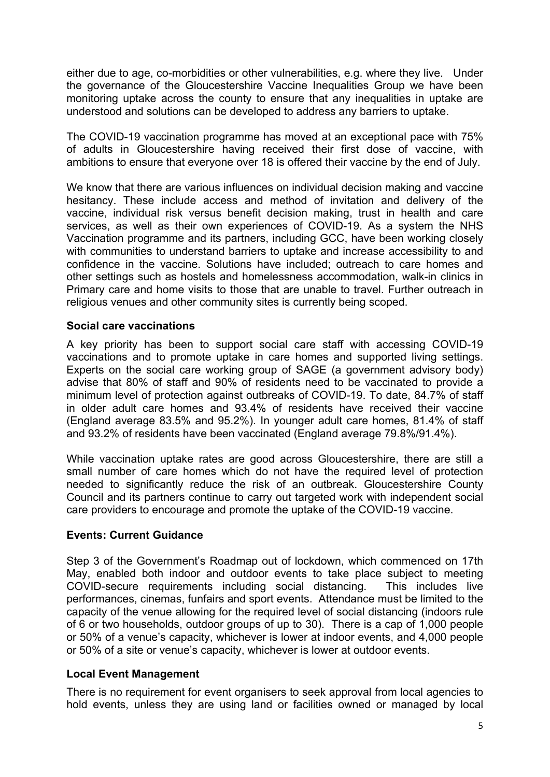either due to age, co-morbidities or other vulnerabilities, e.g. where they live. Under the governance of the Gloucestershire Vaccine Inequalities Group we have been monitoring uptake across the county to ensure that any inequalities in uptake are understood and solutions can be developed to address any barriers to uptake.

The COVID-19 vaccination programme has moved at an exceptional pace with 75% of adults in Gloucestershire having received their first dose of vaccine, with ambitions to ensure that everyone over 18 is offered their vaccine by the end of July.

We know that there are various influences on individual decision making and vaccine hesitancy. These include access and method of invitation and delivery of the vaccine, individual risk versus benefit decision making, trust in health and care services, as well as their own experiences of COVID-19. As a system the NHS Vaccination programme and its partners, including GCC, have been working closely with communities to understand barriers to uptake and increase accessibility to and confidence in the vaccine. Solutions have included; outreach to care homes and other settings such as hostels and homelessness accommodation, walk-in clinics in Primary care and home visits to those that are unable to travel. Further outreach in religious venues and other community sites is currently being scoped.

#### **Social care vaccinations**

A key priority has been to support social care staff with accessing COVID-19 vaccinations and to promote uptake in care homes and supported living settings. Experts on the social care working group of SAGE (a government advisory body) advise that 80% of staff and 90% of residents need to be vaccinated to provide a minimum level of protection against outbreaks of COVID-19. To date, 84.7% of staff in older adult care homes and 93.4% of residents have received their vaccine (England average 83.5% and 95.2%). In younger adult care homes, 81.4% of staff and 93.2% of residents have been vaccinated (England average 79.8%/91.4%).

While vaccination uptake rates are good across Gloucestershire, there are still a small number of care homes which do not have the required level of protection needed to significantly reduce the risk of an outbreak. Gloucestershire County Council and its partners continue to carry out targeted work with independent social care providers to encourage and promote the uptake of the COVID-19 vaccine.

## **Events: Current Guidance**

Step 3 of the Government's Roadmap out of lockdown, which commenced on 17th May, enabled both indoor and outdoor events to take place subject to meeting COVID-secure requirements including social distancing. This includes live performances, cinemas, funfairs and sport events. Attendance must be limited to the capacity of the venue allowing for the required level of social distancing (indoors rule of 6 or two households, outdoor groups of up to 30). There is a cap of 1,000 people or 50% of a venue's capacity, whichever is lower at indoor events, and 4,000 people or 50% of a site or venue's capacity, whichever is lower at outdoor events.

## **Local Event Management**

There is no requirement for event organisers to seek approval from local agencies to hold events, unless they are using land or facilities owned or managed by local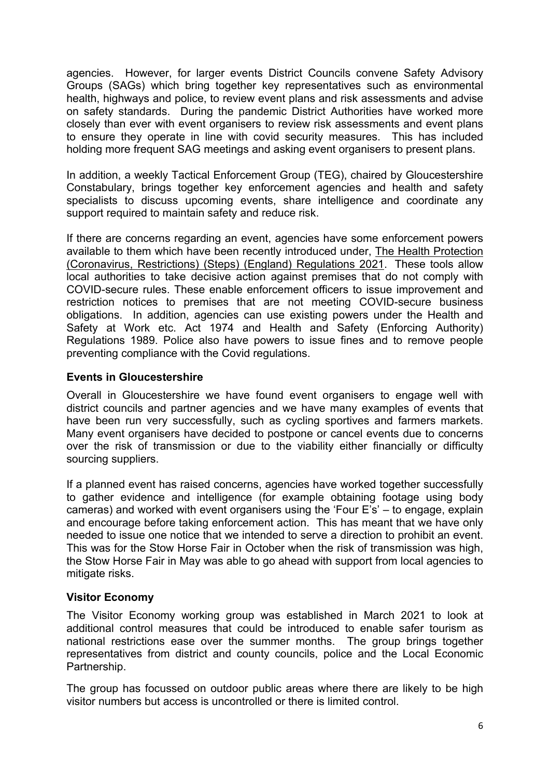agencies. However, for larger events District Councils convene Safety Advisory Groups (SAGs) which bring together key representatives such as environmental health, highways and police, to review event plans and risk assessments and advise on safety standards. During the pandemic District Authorities have worked more closely than ever with event organisers to review risk assessments and event plans to ensure they operate in line with covid security measures. This has included holding more frequent SAG meetings and asking event organisers to present plans.

In addition, a weekly Tactical Enforcement Group (TEG), chaired by Gloucestershire Constabulary, brings together key enforcement agencies and health and safety specialists to discuss upcoming events, share intelligence and coordinate any support required to maintain safety and reduce risk.

If there are concerns regarding an event, agencies have some enforcement powers available to them which have been recently introduced under, The Health [Protection](https://www.legislation.gov.uk/uksi/2021/364/contents/made) [\(Coronavirus,](https://www.legislation.gov.uk/uksi/2021/364/contents/made) Restrictions) (Steps) (England) Regulations 2021. These tools allow local authorities to take decisive action against premises that do not comply with COVID-secure rules. These enable enforcement officers to issue improvement and restriction notices to premises that are not meeting COVID-secure business obligations. In addition, agencies can use existing powers under the Health and Safety at Work etc. Act 1974 and Health and Safety (Enforcing Authority) Regulations 1989. Police also have powers to issue fines and to remove people preventing compliance with the Covid regulations.

#### **Events in Gloucestershire**

Overall in Gloucestershire we have found event organisers to engage well with district councils and partner agencies and we have many examples of events that have been run very successfully, such as cycling sportives and farmers markets. Many event organisers have decided to postpone or cancel events due to concerns over the risk of transmission or due to the viability either financially or difficulty sourcing suppliers.

If a planned event has raised concerns, agencies have worked together successfully to gather evidence and intelligence (for example obtaining footage using body cameras) and worked with event organisers using the 'Four E's' – to engage, explain and encourage before taking enforcement action. This has meant that we have only needed to issue one notice that we intended to serve a direction to prohibit an event. This was for the Stow Horse Fair in October when the risk of transmission was high, the Stow Horse Fair in May was able to go ahead with support from local agencies to mitigate risks.

## **Visitor Economy**

The Visitor Economy working group was established in March 2021 to look at additional control measures that could be introduced to enable safer tourism as national restrictions ease over the summer months. The group brings together representatives from district and county councils, police and the Local Economic Partnership.

The group has focussed on outdoor public areas where there are likely to be high visitor numbers but access is uncontrolled or there is limited control.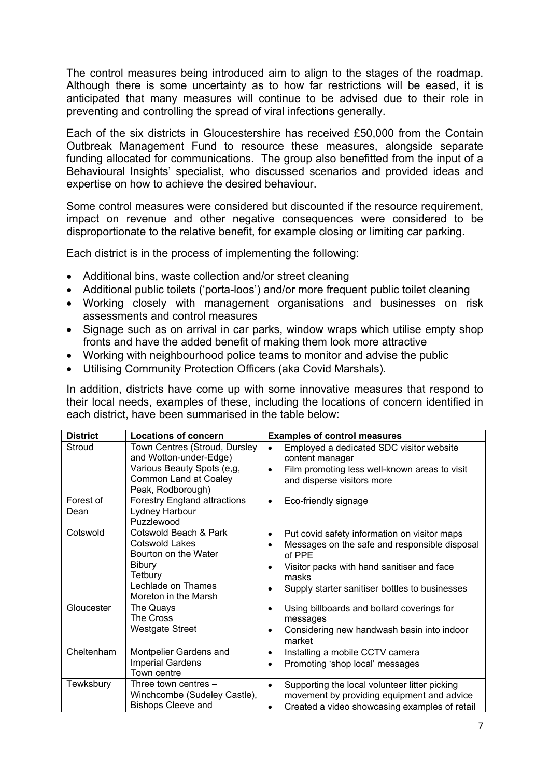The control measures being introduced aim to align to the stages of the roadmap. Although there is some uncertainty as to how far restrictions will be eased, it is anticipated that many measures will continue to be advised due to their role in preventing and controlling the spread of viral infections generally.

Each of the six districts in Gloucestershire has received £50,000 from the Contain Outbreak Management Fund to resource these measures, alongside separate funding allocated for communications. The group also benefitted from the input of a Behavioural Insights' specialist, who discussed scenarios and provided ideas and expertise on how to achieve the desired behaviour.

Some control measures were considered but discounted if the resource requirement, impact on revenue and other negative consequences were considered to be disproportionate to the relative benefit, for example closing or limiting car parking.

Each district is in the process of implementing the following:

- Additional bins, waste collection and/or street cleaning
- Additional public toilets ('porta-loos') and/or more frequent public toilet cleaning
- Working closely with management organisations and businesses on risk assessments and control measures
- Signage such as on arrival in car parks, window wraps which utilise empty shop fronts and have the added benefit of making them look more attractive
- Working with neighbourhood police teams to monitor and advise the public
- Utilising Community Protection Officers (aka Covid Marshals).

In addition, districts have come up with some innovative measures that respond to their local needs, examples of these, including the locations of concern identified in each district, have been summarised in the table below:

| <b>District</b>   | <b>Locations of concern</b>                                                                                                               | <b>Examples of control measures</b>                                                                                                                                                                                   |
|-------------------|-------------------------------------------------------------------------------------------------------------------------------------------|-----------------------------------------------------------------------------------------------------------------------------------------------------------------------------------------------------------------------|
| Stroud            | Town Centres (Stroud, Dursley<br>and Wotton-under-Edge)<br>Various Beauty Spots (e,g,<br>Common Land at Coaley<br>Peak, Rodborough)       | Employed a dedicated SDC visitor website<br>content manager<br>Film promoting less well-known areas to visit<br>and disperse visitors more                                                                            |
| Forest of<br>Dean | <b>Forestry England attractions</b><br>Lydney Harbour<br>Puzzlewood                                                                       | Eco-friendly signage<br>$\bullet$                                                                                                                                                                                     |
| Cotswold          | Cotswold Beach & Park<br>Cotswold Lakes<br>Bourton on the Water<br><b>Bibury</b><br>Tetbury<br>Lechlade on Thames<br>Moreton in the Marsh | Put covid safety information on visitor maps<br>٠<br>Messages on the safe and responsible disposal<br>of PPE<br>Visitor packs with hand sanitiser and face<br>masks<br>Supply starter sanitiser bottles to businesses |
| Gloucester        | The Quays<br>The Cross<br><b>Westgate Street</b>                                                                                          | Using billboards and bollard coverings for<br>$\bullet$<br>messages<br>Considering new handwash basin into indoor<br>$\bullet$<br>market                                                                              |
| Cheltenham        | Montpelier Gardens and<br><b>Imperial Gardens</b><br>Town centre                                                                          | Installing a mobile CCTV camera<br>$\bullet$<br>Promoting 'shop local' messages                                                                                                                                       |
| Tewksbury         | Three town centres $-$<br>Winchcombe (Sudeley Castle),<br><b>Bishops Cleeve and</b>                                                       | Supporting the local volunteer litter picking<br>movement by providing equipment and advice<br>Created a video showcasing examples of retail<br>$\bullet$                                                             |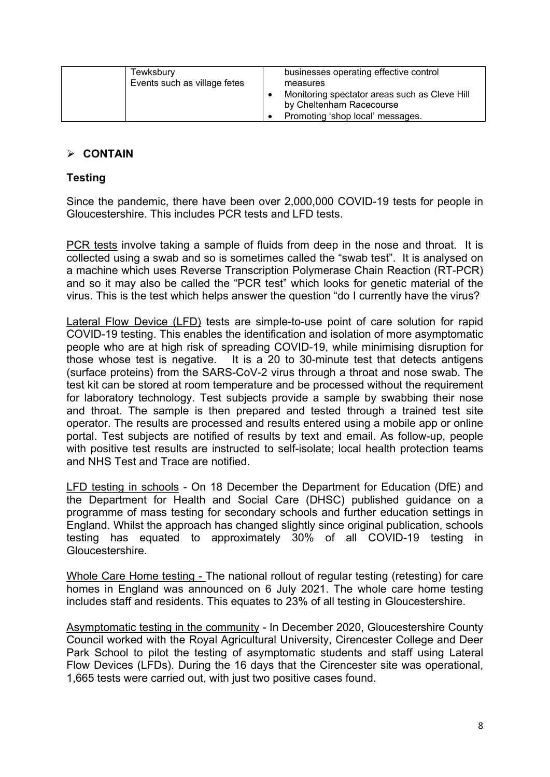| Tewksbury<br>Events such as village fetes | businesses operating effective control<br>measures<br>Monitoring spectator areas such as Cleve Hill<br>by Cheltenham Racecourse<br>Promoting 'shop local' messages. |
|-------------------------------------------|---------------------------------------------------------------------------------------------------------------------------------------------------------------------|
|-------------------------------------------|---------------------------------------------------------------------------------------------------------------------------------------------------------------------|

# **CONTAIN**

## **Testing**

Since the pandemic, there have been over 2,000,000 COVID-19 tests for people in Gloucestershire. This includes PCR tests and LFD tests.

PCR tests involve taking a sample of fluids from deep in the nose and throat. It is collected using a swab and so is sometimes called the "swab test". It is analysed on a machine which uses Reverse Transcription Polymerase Chain Reaction (RT-PCR) and so it may also be called the "PCR test" which looks for genetic material of the virus. This is the test which helps answer the question "do I currently have the virus?

Lateral Flow Device (LFD) tests are simple-to-use point of care solution for rapid COVID-19 testing. This enables the identification and isolation of more asymptomatic people who are at high risk of spreading COVID-19, while minimising disruption for those whose test is negative. It is a 20 to 30-minute test that detects antigens (surface proteins) from the SARS-CoV-2 virus through a throat and nose swab. The test kit can be stored at room temperature and be processed without the requirement for laboratory technology. Test subjects provide a sample by swabbing their nose and throat. The sample is then prepared and tested through a trained test site operator. The results are processed and results entered using a mobile app or online portal. Test subjects are notified of results by text and email. As follow-up, people with positive test results are instructed to self-isolate; local health protection teams and NHS Test and Trace are notified.

LFD testing in schools - On 18 December the Department for Education (DfE) and the Department for Health and Social Care (DHSC) published guidance on a programme of mass testing for secondary schools and further education settings in England. Whilst the approach has changed slightly since original publication, schools testing has equated to approximately 30% of all COVID-19 testing in Gloucestershire.

Whole Care Home testing - The national rollout of regular testing (retesting) for care homes in England was announced on 6 July 2021. The whole care home testing includes staff and residents. This equates to 23% of all testing in Gloucestershire.

Asymptomatic testing in the community - In December 2020, Gloucestershire County Council worked with the Royal Agricultural University, Cirencester College and Deer Park School to pilot the testing of asymptomatic students and staff using Lateral Flow Devices (LFDs). During the 16 days that the Cirencester site was operational, 1,665 tests were carried out, with just two positive cases found.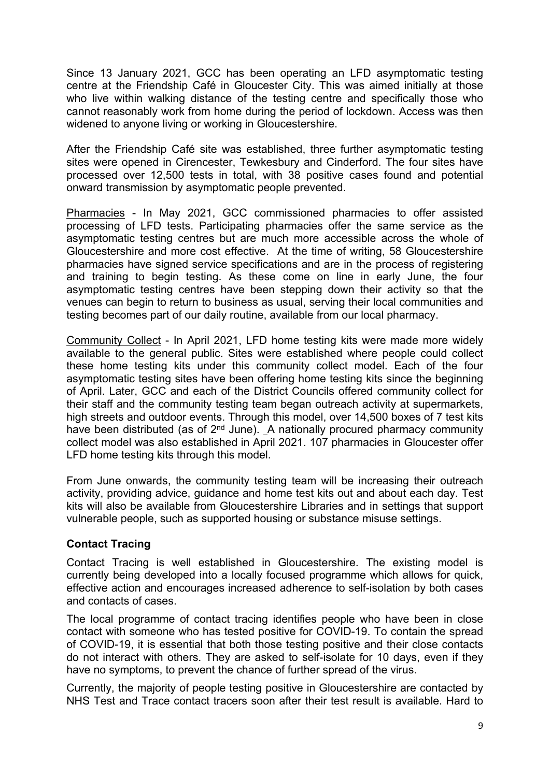Since 13 January 2021, GCC has been operating an LFD asymptomatic testing centre at the Friendship Café in Gloucester City. This was aimed initially at those who live within walking distance of the testing centre and specifically those who cannot reasonably work from home during the period of lockdown. Access was then widened to anyone living or working in Gloucestershire.

After the Friendship Café site was established, three further asymptomatic testing sites were opened in Cirencester, Tewkesbury and Cinderford. The four sites have processed over 12,500 tests in total, with 38 positive cases found and potential onward transmission by asymptomatic people prevented.

Pharmacies - In May 2021, GCC commissioned pharmacies to offer assisted processing of LFD tests. Participating pharmacies offer the same service as the asymptomatic testing centres but are much more accessible across the whole of Gloucestershire and more cost effective. At the time of writing, 58 Gloucestershire pharmacies have signed service specifications and are in the process of registering and training to begin testing. As these come on line in early June, the four asymptomatic testing centres have been stepping down their activity so that the venues can begin to return to business as usual, serving their local communities and testing becomes part of our daily routine, available from our local pharmacy.

Community Collect - In April 2021, LFD home testing kits were made more widely available to the general public. Sites were established where people could collect these home testing kits under this community collect model. Each of the four asymptomatic testing sites have been offering home testing kits since the beginning of April. Later, GCC and each of the District Councils offered community collect for their staff and the community testing team began outreach activity at supermarkets, high streets and outdoor events. Through this model, over 14,500 boxes of 7 test kits have been distributed (as of 2<sup>nd</sup> June). A nationally procured pharmacy community collect model was also established in April 2021. 107 pharmacies in Gloucester offer LFD home testing kits through this model.

From June onwards, the community testing team will be increasing their outreach activity, providing advice, guidance and home test kits out and about each day. Test kits will also be available from Gloucestershire Libraries and in settings that support vulnerable people, such as supported housing or substance misuse settings.

## **Contact Tracing**

Contact Tracing is well established in Gloucestershire. The existing model is currently being developed into a locally focused programme which allows for quick, effective action and encourages increased adherence to self-isolation by both cases and contacts of cases.

The local programme of contact tracing identifies people who have been in close contact with someone who has tested positive for COVID-19. To contain the spread of COVID-19, it is essential that both those testing positive and their close contacts do not interact with others. They are asked to self-isolate for 10 days, even if they have no symptoms, to prevent the chance of further spread of the virus.

Currently, the majority of people testing positive in Gloucestershire are contacted by NHS Test and Trace contact tracers soon after their test result is available. Hard to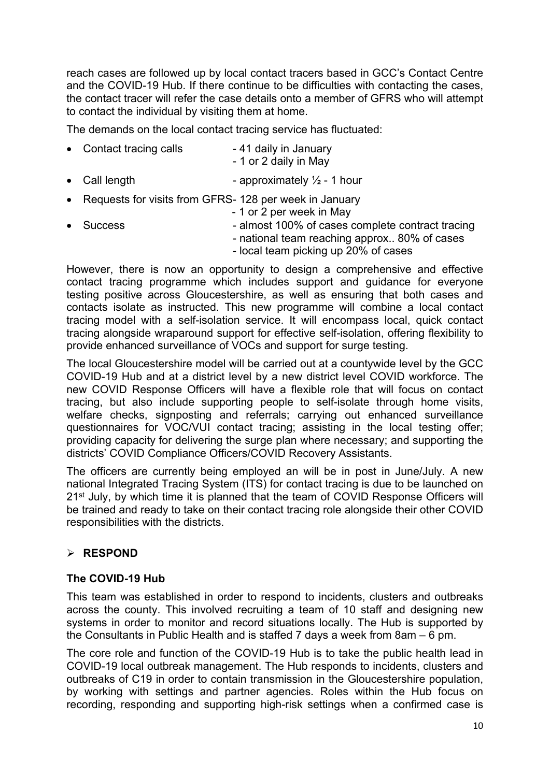reach cases are followed up by local contact tracers based in GCC's Contact Centre and the COVID-19 Hub. If there continue to be difficulties with contacting the cases, the contact tracer will refer the case details onto a member of GFRS who will attempt to contact the individual by visiting them at home.

The demands on the local contact tracing service has fluctuated:

| • Contact tracing calls | - 41 daily in January |
|-------------------------|-----------------------|
|                         | - 1 or 2 daily in May |

- 
- Call length  $\bullet$  approximately  $\frac{1}{2}$  1 hour
- Requests for visits from GFRS- 128 per week in January
	- 1 or 2 per week in May
- Success almost 100% of cases complete contract tracing - national team reaching approx.. 80% of cases
	- local team picking up 20% of cases

However, there is now an opportunity to design a comprehensive and effective contact tracing programme which includes support and guidance for everyone testing positive across Gloucestershire, as well as ensuring that both cases and contacts isolate as instructed. This new programme will combine a local contact tracing model with a self-isolation service. It will encompass local, quick contact tracing alongside wraparound support for effective self-isolation, offering flexibility to provide enhanced surveillance of VOCs and support for surge testing.

The local Gloucestershire model will be carried out at a countywide level by the GCC COVID-19 Hub and at a district level by a new district level COVID workforce. The new COVID Response Officers will have a flexible role that will focus on contact tracing, but also include supporting people to self-isolate through home visits, welfare checks, signposting and referrals; carrying out enhanced surveillance questionnaires for VOC/VUI contact tracing; assisting in the local testing offer; providing capacity for delivering the surge plan where necessary; and supporting the districts' COVID Compliance Officers/COVID Recovery Assistants.

The officers are currently being employed an will be in post in June/July. A new national Integrated Tracing System (ITS) for contact tracing is due to be launched on 21st July, by which time it is planned that the team of COVID Response Officers will be trained and ready to take on their contact tracing role alongside their other COVID responsibilities with the districts.

# **RESPOND**

## **The COVID-19 Hub**

This team was established in order to respond to incidents, clusters and outbreaks across the county. This involved recruiting a team of 10 staff and designing new systems in order to monitor and record situations locally. The Hub is supported by the Consultants in Public Health and is staffed 7 days a week from 8am – 6 pm.

The core role and function of the COVID-19 Hub is to take the public health lead in COVID-19 local outbreak management. The Hub responds to incidents, clusters and outbreaks of C19 in order to contain transmission in the Gloucestershire population, by working with settings and partner agencies. Roles within the Hub focus on recording, responding and supporting high-risk settings when a confirmed case is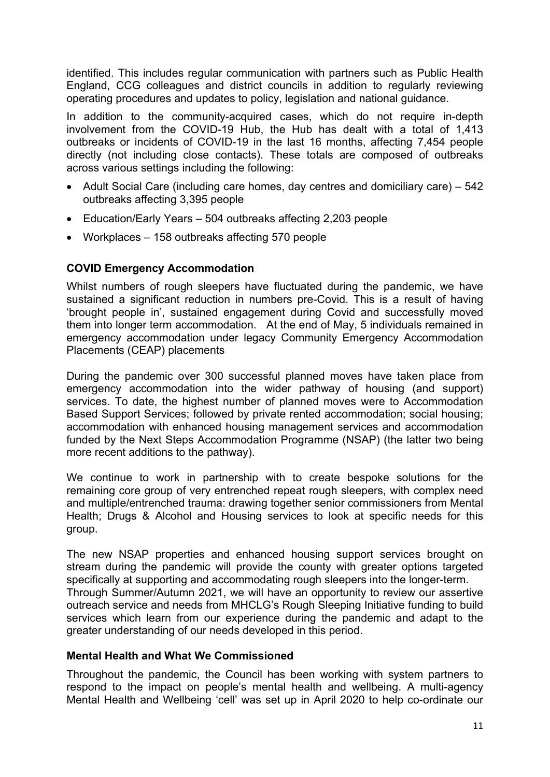identified. This includes regular communication with partners such as Public Health England, CCG colleagues and district councils in addition to regularly reviewing operating procedures and updates to policy, legislation and national guidance.

In addition to the community-acquired cases, which do not require in-depth involvement from the COVID-19 Hub, the Hub has dealt with a total of 1,413 outbreaks or incidents of COVID-19 in the last 16 months, affecting 7,454 people directly (not including close contacts). These totals are composed of outbreaks across various settings including the following:

- Adult Social Care (including care homes, day centres and domiciliary care) 542 outbreaks affecting 3,395 people
- Education/Early Years 504 outbreaks affecting 2,203 people
- Workplaces 158 outbreaks affecting 570 people

#### **COVID Emergency Accommodation**

Whilst numbers of rough sleepers have fluctuated during the pandemic, we have sustained a significant reduction in numbers pre-Covid. This is a result of having 'brought people in', sustained engagement during Covid and successfully moved them into longer term accommodation. At the end of May, 5 individuals remained in emergency accommodation under legacy Community Emergency Accommodation Placements (CEAP) placements

During the pandemic over 300 successful planned moves have taken place from emergency accommodation into the wider pathway of housing (and support) services. To date, the highest number of planned moves were to Accommodation Based Support Services; followed by private rented accommodation; social housing; accommodation with enhanced housing management services and accommodation funded by the Next Steps Accommodation Programme (NSAP) (the latter two being more recent additions to the pathway).

We continue to work in partnership with to create bespoke solutions for the remaining core group of very entrenched repeat rough sleepers, with complex need and multiple/entrenched trauma: drawing together senior commissioners from Mental Health; Drugs & Alcohol and Housing services to look at specific needs for this group.

The new NSAP properties and enhanced housing support services brought on stream during the pandemic will provide the county with greater options targeted specifically at supporting and accommodating rough sleepers into the longer-term. Through Summer/Autumn 2021, we will have an opportunity to review our assertive outreach service and needs from MHCLG's Rough Sleeping Initiative funding to build services which learn from our experience during the pandemic and adapt to the greater understanding of our needs developed in this period.

#### **Mental Health and What We Commissioned**

Throughout the pandemic, the Council has been working with system partners to respond to the impact on people's mental health and wellbeing. A multi-agency Mental Health and Wellbeing 'cell' was set up in April 2020 to help co-ordinate our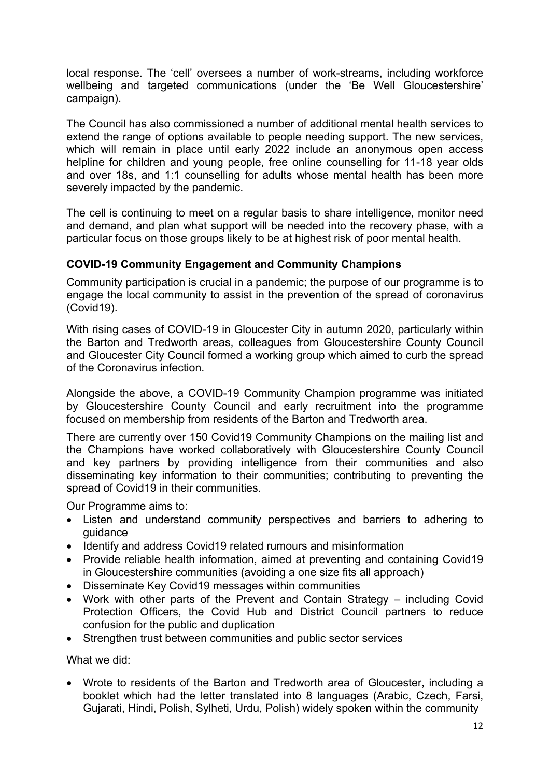local response. The 'cell' oversees a number of work-streams, including workforce wellbeing and targeted communications (under the 'Be Well Gloucestershire' campaign).

The Council has also commissioned a number of additional mental health services to extend the range of options available to people needing support. The new services, which will remain in place until early 2022 include an anonymous open access helpline for children and young people, free online counselling for 11-18 year olds and over 18s, and 1:1 counselling for adults whose mental health has been more severely impacted by the pandemic.

The cell is continuing to meet on a regular basis to share intelligence, monitor need and demand, and plan what support will be needed into the recovery phase, with a particular focus on those groups likely to be at highest risk of poor mental health.

#### **COVID-19 Community Engagement and Community Champions**

Community participation is crucial in a pandemic; the purpose of our programme is to engage the local community to assist in the prevention of the spread of coronavirus (Covid19).

With rising cases of COVID-19 in Gloucester City in autumn 2020, particularly within the Barton and Tredworth areas, colleagues from Gloucestershire County Council and Gloucester City Council formed a working group which aimed to curb the spread of the Coronavirus infection.

Alongside the above, a COVID-19 Community Champion programme was initiated by Gloucestershire County Council and early recruitment into the programme focused on membership from residents of the Barton and Tredworth area.

There are currently over 150 Covid19 Community Champions on the mailing list and the Champions have worked collaboratively with Gloucestershire County Council and key partners by providing intelligence from their communities and also disseminating key information to their communities; contributing to preventing the spread of Covid19 in their communities.

Our Programme aims to:

- Listen and understand community perspectives and barriers to adhering to guidance
- Identify and address Covid19 related rumours and misinformation
- Provide reliable health information, aimed at preventing and containing Covid19 in Gloucestershire communities (avoiding a one size fits all approach)
- Disseminate Key Covid19 messages within communities
- Work with other parts of the Prevent and Contain Strategy including Covid Protection Officers, the Covid Hub and District Council partners to reduce confusion for the public and duplication
- Strengthen trust between communities and public sector services

What we did:

 Wrote to residents of the Barton and Tredworth area of Gloucester, including a booklet which had the letter translated into 8 languages (Arabic, Czech, Farsi, Gujarati, Hindi, Polish, Sylheti, Urdu, Polish) widely spoken within the community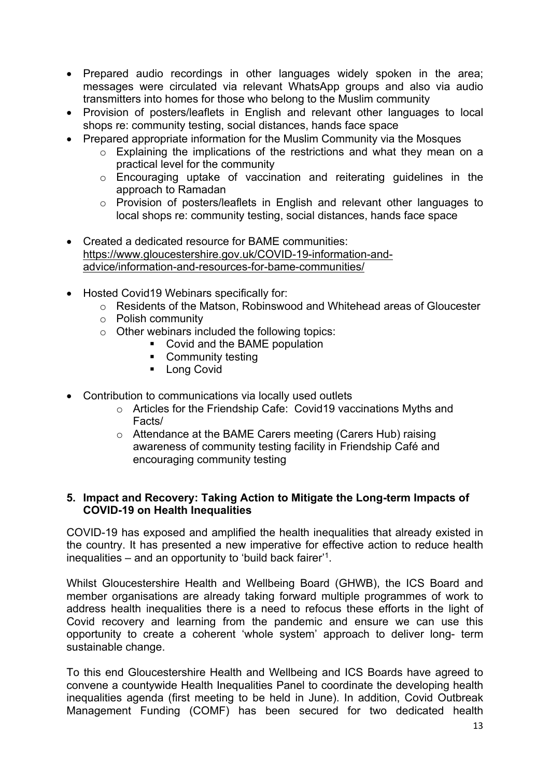- Prepared audio recordings in other languages widely spoken in the area; messages were circulated via relevant WhatsApp groups and also via audio transmitters into homes for those who belong to the Muslim community
- Provision of posters/leaflets in English and relevant other languages to local shops re: community testing, social distances, hands face space
- Prepared appropriate information for the Muslim Community via the Mosques
	- o Explaining the implications of the restrictions and what they mean on a practical level for the community
	- o Encouraging uptake of vaccination and reiterating guidelines in the approach to Ramadan
	- o Provision of posters/leaflets in English and relevant other languages to local shops re: community testing, social distances, hands face space
- Created a dedicated resource for BAME communities: [https://www.gloucestershire.gov.uk/COVID-19-information-and](https://www.gloucestershire.gov.uk/covid-19-information-and-advice/information-and-resources-for-bame-communities/)[advice/information-and-resources-for-bame-communities/](https://www.gloucestershire.gov.uk/covid-19-information-and-advice/information-and-resources-for-bame-communities/)
- Hosted Covid19 Webinars specifically for:
	- o Residents of the Matson, Robinswood and Whitehead areas of Gloucester
	- o Polish community
	- o Other webinars included the following topics:
		- Covid and the BAME population
		- Community testing
		- **Long Covid**
- Contribution to communications via locally used outlets
	- o Articles for the Friendship Cafe: Covid19 vaccinations Myths and Facts/
	- o Attendance at the BAME Carers meeting (Carers Hub) raising awareness of community testing facility in Friendship Café and encouraging community testing

#### **5. Impact and Recovery: Taking Action to Mitigate the Long-term Impacts of COVID-19 on Health Inequalities**

COVID-19 has exposed and amplified the health inequalities that already existed in the country. It has presented a new imperative for effective action to reduce health inequalities – and an opportunity to 'build back fairer'<sup>1</sup> .

Whilst Gloucestershire Health and Wellbeing Board (GHWB), the ICS Board and member organisations are already taking forward multiple programmes of work to address health inequalities there is a need to refocus these efforts in the light of Covid recovery and learning from the pandemic and ensure we can use this opportunity to create a coherent 'whole system' approach to deliver long- term sustainable change.

To this end Gloucestershire Health and Wellbeing and ICS Boards have agreed to convene a countywide Health Inequalities Panel to coordinate the developing health inequalities agenda (first meeting to be held in June). In addition, Covid Outbreak Management Funding (COMF) has been secured for two dedicated health